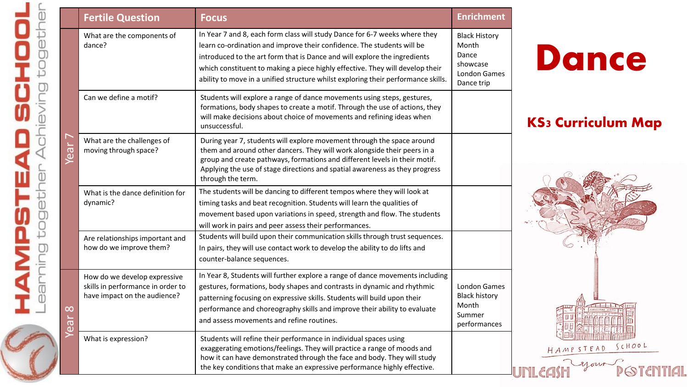|                                     | <b>Fertile Question</b>                                                                           | <b>Focus</b>                                                                                                                                                                                                                                                                                                                                                                                            | <b>Enrichment</b>                                                                       |                           |
|-------------------------------------|---------------------------------------------------------------------------------------------------|---------------------------------------------------------------------------------------------------------------------------------------------------------------------------------------------------------------------------------------------------------------------------------------------------------------------------------------------------------------------------------------------------------|-----------------------------------------------------------------------------------------|---------------------------|
| າ<br>ລິ                             | What are the components of<br>dance?                                                              | In Year 7 and 8, each form class will study Dance for 6-7 weeks where they<br>learn co-ordination and improve their confidence. The students will be<br>introduced to the art form that is Dance and will explore the ingredients<br>which constituent to making a piece highly effective. They will develop their<br>ability to move in a unified structure whilst exploring their performance skills. | <b>Black History</b><br>Month<br>Dance<br>showcase<br><b>London Games</b><br>Dance trip | <b>Dance</b>              |
|                                     | Can we define a motif?                                                                            | Students will explore a range of dance movements using steps, gestures,<br>formations, body shapes to create a motif. Through the use of actions, they<br>will make decisions about choice of movements and refining ideas when<br>unsuccessful.                                                                                                                                                        |                                                                                         | <b>KS3 Curriculum Map</b> |
|                                     | What are the challenges of<br>moving through space?                                               | During year 7, students will explore movement through the space around<br>them and around other dancers. They will work alongside their peers in a<br>group and create pathways, formations and different levels in their motif.<br>Applying the use of stage directions and spatial awareness as they progress<br>through the term.                                                                    |                                                                                         |                           |
|                                     | What is the dance definition for<br>dynamic?                                                      | The students will be dancing to different tempos where they will look at<br>timing tasks and beat recognition. Students will learn the qualities of<br>movement based upon variations in speed, strength and flow. The students<br>will work in pairs and peer assess their performances.                                                                                                               |                                                                                         |                           |
|                                     | Are relationships important and<br>how do we improve them?                                        | Students will build upon their communication skills through trust sequences.<br>In pairs, they will use contact work to develop the ability to do lifts and<br>counter-balance sequences.                                                                                                                                                                                                               |                                                                                         |                           |
| $\infty$<br>$\overline{\mathbf{e}}$ | How do we develop expressive<br>skills in performance in order to<br>have impact on the audience? | In Year 8, Students will further explore a range of dance movements including<br>gestures, formations, body shapes and contrasts in dynamic and rhythmic<br>patterning focusing on expressive skills. Students will build upon their<br>performance and choreography skills and improve their ability to evaluate<br>and assess movements and refine routines.                                          | <b>London Games</b><br><b>Black history</b><br>Month<br>Summer<br>performances          |                           |
|                                     | What is expression?                                                                               | Students will refine their performance in individual spaces using<br>exaggerating emotions/feelings. They will practice a range of moods and<br>how it can have demonstrated through the face and body. They will study<br>the key conditions that make an expressive performance highly effective.                                                                                                     |                                                                                         | HAMPSTEAD SCHOOL          |

lieving together

**Act** 

O

Ī

 $\overline{\mathbf{C}}$ 

ū

¥

HAMPSTE,